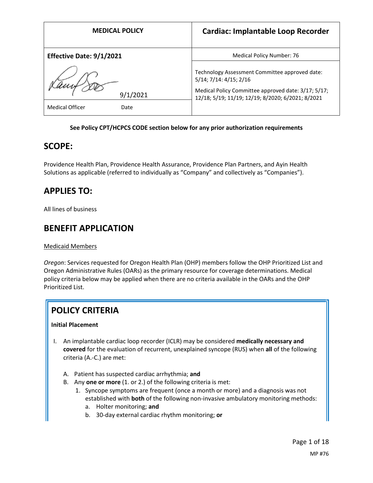| <b>MEDICAL POLICY</b>                      | <b>Cardiac: Implantable Loop Recorder</b>                                                                                                                                            |
|--------------------------------------------|--------------------------------------------------------------------------------------------------------------------------------------------------------------------------------------|
| Effective Date: 9/1/2021                   | Medical Policy Number: 76                                                                                                                                                            |
| 9/1/2021<br><b>Medical Officer</b><br>Date | Technology Assessment Committee approved date:<br>5/14; 7/14: 4/15; 2/16<br>Medical Policy Committee approved date: 3/17; 5/17;<br>12/18; 5/19; 11/19; 12/19; 8/2020; 6/2021; 8/2021 |

#### **See Policy CPT/HCPCS CODE section below for any prior authorization requirements**

## **SCOPE:**

Providence Health Plan, Providence Health Assurance, Providence Plan Partners, and Ayin Health Solutions as applicable (referred to individually as "Company" and collectively as "Companies").

## **APPLIES TO:**

All lines of business

## **BENEFIT APPLICATION**

#### Medicaid Members

*Oregon*: Services requested for Oregon Health Plan (OHP) members follow the OHP Prioritized List and Oregon Administrative Rules (OARs) as the primary resource for coverage determinations. Medical policy criteria below may be applied when there are no criteria available in the OARs and the OHP Prioritized List.

# **POLICY CRITERIA**

#### **Initial Placement**

- I. An implantable cardiac loop recorder (ICLR) may be considered **medically necessary and covered** for the evaluation of recurrent, unexplained syncope (RUS) when **all** of the following criteria (A.-C.) are met:
	- A. Patient has suspected cardiac arrhythmia; **and**
	- B. Any **one or more** (1. or 2.) of the following criteria is met:
		- 1. Syncope symptoms are frequent (once a month or more) and a diagnosis was not established with **both** of the following non-invasive ambulatory monitoring methods:
			- a. Holter monitoring; **and**
			- b. 30-day external cardiac rhythm monitoring; **or**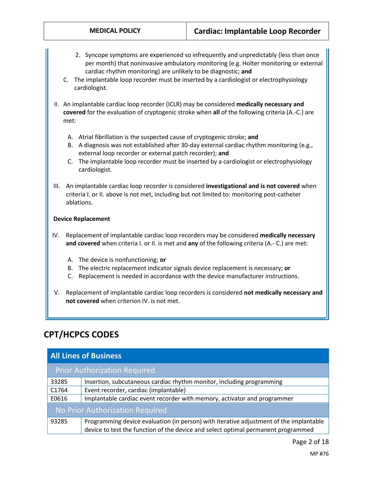- 2. Syncope symptoms are experienced so infrequently and unpredictably (less than once per month) that noninvasive ambulatory monitoring (e.g. Holter monitoring or external cardiac rhythm monitoring) are unlikely to be diagnostic; **and**
- C. The implantable loop recorder must be inserted by a cardiologist or electrophysiology cardiologist.
- II. An implantable cardiac loop recorder (ICLR) may be considered **medically necessary and covered** for the evaluation of cryptogenic stroke when **all** of the following criteria (A.-C.) are met:
	- A. Atrial fibrillation is the suspected cause of cryptogenic stroke; **and**
	- B. A diagnosis was not established after 30-day external cardiac rhythm monitoring (e.g., external loop recorder or external patch recorder); **and**
	- C. The implantable loop recorder must be inserted by a cardiologist or electrophysiology cardiologist.
- III. An implantable cardiac loop recorder is considered **investigational and is not covered** when criteria I. or II. above is not met, including but not limited to: monitoring post-catheter ablations.

#### **Device Replacement**

- IV. Replacement of implantable cardiac loop recorders may be considered **medically necessary and covered** when criteria I. or II. is met and **any** of the following criteria (A.- C.) are met:
	- A. The device is nonfunctioning; **or**
	- B. The electric replacement indicator signals device replacement is necessary; **or**
	- C. Replacement is needed in accordance with the device manufacturer instructions.
- V. Replacement of implantable cardiac loop recorders is considered **not medically necessary and not covered** when criterion IV. is not met.

# **CPT/HCPCS CODES**

| <b>All Lines of Business</b>        |                                                                                                                                                                             |  |  |
|-------------------------------------|-----------------------------------------------------------------------------------------------------------------------------------------------------------------------------|--|--|
| <b>Prior Authorization Required</b> |                                                                                                                                                                             |  |  |
| 33285                               | Insertion, subcutaneous cardiac rhythm monitor, including programming                                                                                                       |  |  |
| C1764                               | Event recorder, cardiac (implantable)                                                                                                                                       |  |  |
| E0616                               | Implantable cardiac event recorder with memory, activator and programmer                                                                                                    |  |  |
| No Prior Authorization Required     |                                                                                                                                                                             |  |  |
| 93285                               | Programming device evaluation (in person) with iterative adjustment of the implantable<br>device to test the function of the device and select optimal permanent programmed |  |  |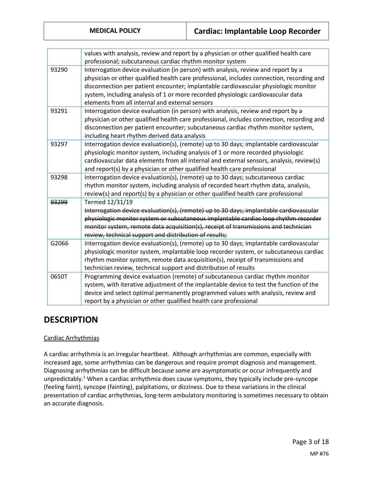| <b>MEDICAL POLICY</b> |  |  |
|-----------------------|--|--|
|                       |  |  |

|       | values with analysis, review and report by a physician or other qualified health care<br>professional; subcutaneous cardiac rhythm monitor system                                                                                                                                                                                                                                                            |
|-------|--------------------------------------------------------------------------------------------------------------------------------------------------------------------------------------------------------------------------------------------------------------------------------------------------------------------------------------------------------------------------------------------------------------|
| 93290 | Interrogation device evaluation (in person) with analysis, review and report by a<br>physician or other qualified health care professional, includes connection, recording and<br>disconnection per patient encounter; implantable cardiovascular physiologic monitor<br>system, including analysis of 1 or more recorded physiologic cardiovascular data<br>elements from all internal and external sensors |
| 93291 | Interrogation device evaluation (in person) with analysis, review and report by a<br>physician or other qualified health care professional, includes connection, recording and<br>disconnection per patient encounter; subcutaneous cardiac rhythm monitor system,<br>including heart rhythm derived data analysis                                                                                           |
| 93297 | Interrogation device evaluation(s), (remote) up to 30 days; implantable cardiovascular<br>physiologic monitor system, including analysis of 1 or more recorded physiologic<br>cardiovascular data elements from all internal and external sensors, analysis, review(s)<br>and report(s) by a physician or other qualified health care professional                                                           |
| 93298 | Interrogation device evaluation(s), (remote) up to 30 days; subcutaneous cardiac<br>rhythm monitor system, including analysis of recorded heart rhythm data, analysis,<br>review(s) and report(s) by a physician or other qualified health care professional                                                                                                                                                 |
| 93299 | Termed 12/31/19<br>Interrogation device evaluation(s), (remote) up to 30 days; implantable cardiovascular<br>physiologic monitor system or subcutaneous implantable cardiac loop rhythm recorder<br>monitor system, remote data acquisition(s), receipt of transmissions and technician<br>review, technical support and distribution of results;                                                            |
| G2066 | Interrogation device evaluation(s), (remote) up to 30 days; implantable cardiovascular<br>physiologic monitor system, implantable loop recorder system, or subcutaneous cardiac<br>rhythm monitor system, remote data acquisition(s), receipt of transmissions and<br>technician review, technical support and distribution of results                                                                       |
| 0650T | Programming device evaluation (remote) of subcutaneous cardiac rhythm monitor<br>system, with iterative adjustment of the implantable device to test the function of the<br>device and select optimal permanently programmed values with analysis, review and<br>report by a physician or other qualified health care professional                                                                           |

# **DESCRIPTION**

### Cardiac Arrhythmias

A cardiac arrhythmia is an irregular heartbeat. Although arrhythmias are common, especially with increased age, some arrhythmias can be dangerous and require prompt diagnosis and management. Diagnosing arrhythmias can be difficult because some are asymptomatic or occur infrequently and unpredictably.<sup>1</sup> When a cardiac arrhythmia does cause symptoms, they typically include pre-syncope (feeling faint), syncope (fainting), palpitations, or dizziness. Due to these variations in the clinical presentation of cardiac arrhythmias, long-term ambulatory monitoring is sometimes necessary to obtain an accurate diagnosis.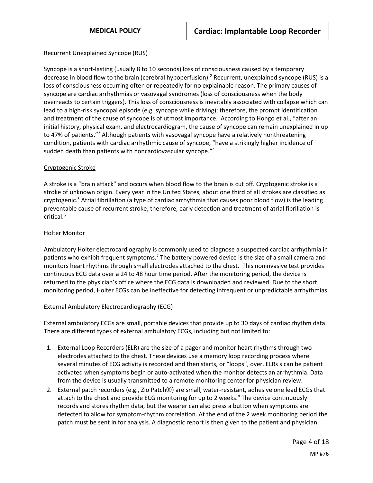#### Recurrent Unexplained Syncope (RUS)

Syncope is a short-lasting (usually 8 to 10 seconds) loss of consciousness caused by a temporary decrease in blood flow to the brain (cerebral hypoperfusion).<sup>2</sup> Recurrent, unexplained syncope (RUS) is a loss of consciousness occurring often or repeatedly for no explainable reason. The primary causes of syncope are cardiac arrhythmias or vasovagal syndromes (loss of consciousness when the body overreacts to certain triggers). This loss of consciousness is inevitably associated with collapse which can lead to a high-risk syncopal episode (e.g. syncope while driving); therefore, the prompt identification and treatment of the cause of syncope is of utmost importance. According to Hongo et al., "after an initial history, physical exam, and electrocardiogram, the cause of syncope can remain unexplained in up to 47% of patients."<sup>3</sup> Although patients with vasovagal syncope have a relatively nonthreatening condition, patients with cardiac arrhythmic cause of syncope, "have a strikingly higher incidence of sudden death than patients with noncardiovascular syncope." 4

#### Cryptogenic Stroke

A stroke is a "brain attack" and occurs when blood flow to the brain is cut off. Cryptogenic stroke is a stroke of unknown origin. Every year in the United States, about one third of all strokes are classified as cryptogenic.<sup>5</sup> Atrial fibrillation (a type of cardiac arrhythmia that causes poor blood flow) is the leading preventable cause of recurrent stroke; therefore, early detection and treatment of atrial fibrillation is critical.<sup>6</sup>

#### **Holter Monitor**

Ambulatory Holter electrocardiography is commonly used to diagnose a suspected cardiac arrhythmia in patients who exhibit frequent symptoms.<sup>7</sup> The battery powered device is the size of a small camera and monitors heart rhythms through small electrodes attached to the chest. This noninvasive test provides continuous ECG data over a 24 to 48 hour time period. After the monitoring period, the device is returned to the physician's office where the ECG data is downloaded and reviewed. Due to the short monitoring period, Holter ECGs can be ineffective for detecting infrequent or unpredictable arrhythmias.

#### External Ambulatory Electrocardiography (ECG)

External ambulatory ECGs are small, portable devices that provide up to 30 days of cardiac rhythm data. There are different types of external ambulatory ECGs, including but not limited to:

- 1. External Loop Recorders (ELR) are the size of a pager and monitor heart rhythms through two electrodes attached to the chest. These devices use a memory loop recording process where several minutes of ECG activity is recorded and then starts, or "loops", over. ELRs s can be patient activated when symptoms begin or auto-activated when the monitor detects an arrhythmia. Data from the device is usually transmitted to a remote monitoring center for physician review.
- 2. External patch recorders (e.g., Zio Patch®) are small, water-resistant, adhesive one lead ECGs that attach to the chest and provide ECG monitoring for up to 2 weeks.<sup>8</sup> The device continuously records and stores rhythm data, but the wearer can also press a button when symptoms are detected to allow for symptom-rhythm correlation. At the end of the 2 week monitoring period the patch must be sent in for analysis. A diagnostic report is then given to the patient and physician.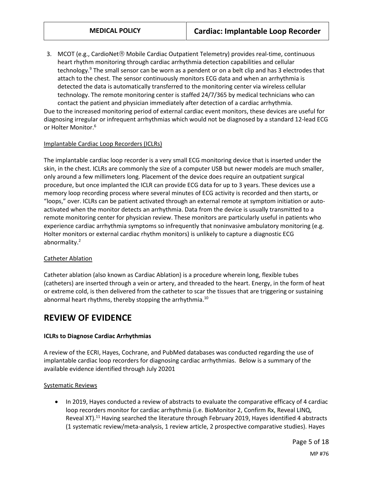3. MCOT (e.g., CardioNet<sup>®</sup> Mobile Cardiac Outpatient Telemetry) provides real-time, continuous heart rhythm monitoring through cardiac arrhythmia detection capabilities and cellular technology.<sup>9</sup> The small sensor can be worn as a pendent or on a belt clip and has 3 electrodes that attach to the chest. The sensor continuously monitors ECG data and when an arrhythmia is detected the data is automatically transferred to the monitoring center via wireless cellular technology. The remote monitoring center is staffed 24/7/365 by medical technicians who can contact the patient and physician immediately after detection of a cardiac arrhythmia.

Due to the increased monitoring period of external cardiac event monitors, these devices are useful for diagnosing irregular or infrequent arrhythmias which would not be diagnosed by a standard 12-lead ECG or Holter Monitor.<sup>6</sup>

#### Implantable Cardiac Loop Recorders (ICLRs)

The implantable cardiac loop recorder is a very small ECG monitoring device that is inserted under the skin, in the chest. ICLRs are commonly the size of a computer USB but newer models are much smaller, only around a few millimeters long. Placement of the device does require an outpatient surgical procedure, but once implanted the ICLR can provide ECG data for up to 3 years. These devices use a memory loop recording process where several minutes of ECG activity is recorded and then starts, or "loops," over. ICLRs can be patient activated through an external remote at symptom initiation or autoactivated when the monitor detects an arrhythmia. Data from the device is usually transmitted to a remote monitoring center for physician review. These monitors are particularly useful in patients who experience cardiac arrhythmia symptoms so infrequently that noninvasive ambulatory monitoring (e.g. Holter monitors or external cardiac rhythm monitors) is unlikely to capture a diagnostic ECG abnormality.<sup>2</sup>

#### Catheter Ablation

Catheter ablation (also known as Cardiac Ablation) is a procedure wherein long, flexible tubes (catheters) are inserted through a vein or artery, and threaded to the heart. Energy, in the form of heat or extreme cold, is then delivered from the catheter to scar the tissues that are triggering or sustaining abnormal heart rhythms, thereby stopping the arrhythmia.<sup>10</sup>

## **REVIEW OF EVIDENCE**

#### **ICLRs to Diagnose Cardiac Arrhythmias**

A review of the ECRI, Hayes, Cochrane, and PubMed databases was conducted regarding the use of implantable cardiac loop recorders for diagnosing cardiac arrhythmias. Below is a summary of the available evidence identified through July 20201

#### Systematic Reviews

• In 2019, Hayes conducted a review of abstracts to evaluate the comparative efficacy of 4 cardiac loop recorders monitor for cardiac arrhythmia (i.e. BioMonitor 2, Confirm Rx, Reveal LINQ, Reveal XT).<sup>11</sup> Having searched the literature through February 2019, Hayes identified 4 abstracts (1 systematic review/meta-analysis, 1 review article, 2 prospective comparative studies). Hayes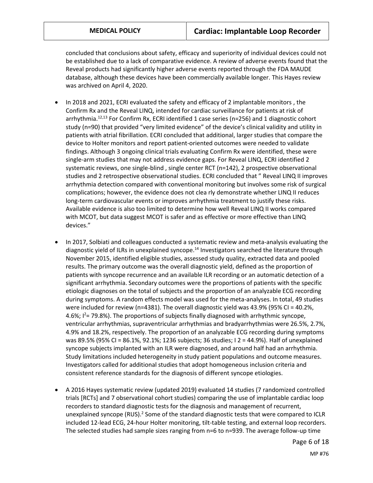concluded that conclusions about safety, efficacy and superiority of individual devices could not be established due to a lack of comparative evidence. A review of adverse events found that the Reveal products had significantly higher adverse events reported through the FDA MAUDE database, although these devices have been commercially available longer. This Hayes review was archived on April 4, 2020.

- In 2018 and 2021, ECRI evaluated the safety and efficacy of 2 implantable monitors , the Confirm Rx and the Reveal LINQ, intended for cardiac surveillance for patients at risk of arrhythmia.<sup>12,13</sup> For Confirm Rx, ECRI identified 1 case series ( $n=256$ ) and 1 diagnostic cohort study (n=90) that provided "very limited evidence" of the device's clinical validity and utility in patients with atrial fibrillation. ECRI concluded that additional, larger studies that compare the device to Holter monitors and report patient-oriented outcomes were needed to validate findings. Although 3 ongoing clinical trials evaluating Confirm Rx were identified, these were single-arm studies that may not address evidence gaps. For Reveal LINQ, ECRI identified 2 systematic reviews, one single-blind , single center RCT (n=142), 2 prospective observational studies and 2 retrospective observational studies. ECRI concluded that " Reveal LINQ II improves arrhythmia detection compared with conventional monitoring but involves some risk of surgical complications; however, the evidence does not clea rly demonstrate whether LINQ II reduces long-term cardiovascular events or improves arrhythmia treatment to justify these risks. Available evidence is also too limited to determine how well Reveal LINQ II works compared with MCOT, but data suggest MCOT is safer and as effective or more effective than LINQ devices."
- In 2017, Solbiati and colleagues conducted a systematic review and meta-analysis evaluating the diagnostic yield of ILRs in unexplained syncope.<sup>14</sup> Investigators searched the literature through November 2015, identified eligible studies, assessed study quality, extracted data and pooled results. The primary outcome was the overall diagnostic yield, defined as the proportion of patients with syncope recurrence and an available ILR recording or an automatic detection of a significant arrhythmia. Secondary outcomes were the proportions of patients with the specific etiologic diagnoses on the total of subjects and the proportion of an analyzable ECG recording during symptoms. A random effects model was used for the meta-analyses. In total, 49 studies were included for review (n=4381). The overall diagnostic yield was 43.9% (95% CI = 40.2%, 4.6%;  $I^2$ = 79.8%). The proportions of subjects finally diagnosed with arrhythmic syncope, ventricular arrhythmias, supraventricular arrhythmias and bradyarrhythmias were 26.5%, 2.7%, 4.9% and 18.2%, respectively. The proportion of an analyzable ECG recording during symptoms was 89.5% (95% CI = 86.1%, 92.1%; 1236 subjects; 36 studies; I 2 = 44.9%). Half of unexplained syncope subjects implanted with an ILR were diagnosed, and around half had an arrhythmia. Study limitations included heterogeneity in study patient populations and outcome measures. Investigators called for additional studies that adopt homogeneous inclusion criteria and consistent reference standards for the diagnosis of different syncope etiologies.
- A 2016 Hayes systematic review (updated 2019) evaluated 14 studies (7 randomized controlled trials [RCTs] and 7 observational cohort studies) comparing the use of implantable cardiac loop recorders to standard diagnostic tests for the diagnosis and management of recurrent, unexplained syncope (RUS).<sup>2</sup> Some of the standard diagnostic tests that were compared to ICLR included 12-lead ECG, 24-hour Holter monitoring, tilt-table testing, and external loop recorders. The selected studies had sample sizes ranging from n=6 to n=939. The average follow-up time

Page 6 of 18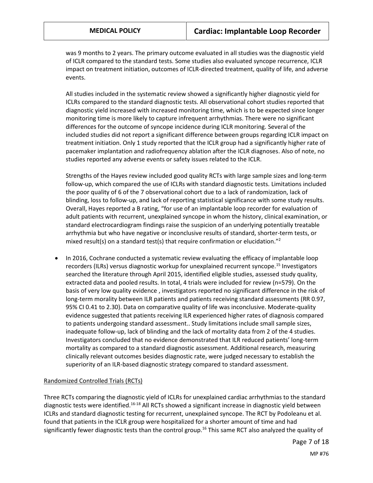was 9 months to 2 years. The primary outcome evaluated in all studies was the diagnostic yield of ICLR compared to the standard tests. Some studies also evaluated syncope recurrence, ICLR impact on treatment initiation, outcomes of ICLR-directed treatment, quality of life, and adverse events.

All studies included in the systematic review showed a significantly higher diagnostic yield for ICLRs compared to the standard diagnostic tests. All observational cohort studies reported that diagnostic yield increased with increased monitoring time, which is to be expected since longer monitoring time is more likely to capture infrequent arrhythmias. There were no significant differences for the outcome of syncope incidence during ICLR monitoring. Several of the included studies did not report a significant difference between groups regarding ICLR impact on treatment initiation. Only 1 study reported that the ICLR group had a significantly higher rate of pacemaker implantation and radiofrequency ablation after the ICLR diagnoses. Also of note, no studies reported any adverse events or safety issues related to the ICLR.

Strengths of the Hayes review included good quality RCTs with large sample sizes and long-term follow-up, which compared the use of ICLRs with standard diagnostic tests. Limitations included the poor quality of 6 of the 7 observational cohort due to a lack of randomization, lack of blinding, loss to follow-up, and lack of reporting statistical significance with some study results. Overall, Hayes reported a B rating, "for use of an implantable loop recorder for evaluation of adult patients with recurrent, unexplained syncope in whom the history, clinical examination, or standard electrocardiogram findings raise the suspicion of an underlying potentially treatable arrhythmia but who have negative or inconclusive results of standard, shorter-term tests, or mixed result(s) on a standard test(s) that require confirmation or elucidation."<sup>2</sup>

 In 2016, Cochrane conducted a systematic review evaluating the efficacy of implantable loop recorders (ILRs) versus diagnostic workup for unexplained recurrent syncope.<sup>15</sup> Investigators searched the literature through April 2015, identified eligible studies, assessed study quality, extracted data and pooled results. In total, 4 trials were included for review (n=579). On the basis of very low quality evidence , investigators reported no significant difference in the risk of long-term morality between ILR patients and patients receiving standard assessments (RR 0.97, 95% CI 0.41 to 2.30). Data on comparative quality of life was inconclusive. Moderate-quality evidence suggested that patients receiving ILR experienced higher rates of diagnosis compared to patients undergoing standard assessment.. Study limitations include small sample sizes, inadequate follow-up, lack of blinding and the lack of mortality data from 2 of the 4 studies. Investigators concluded that no evidence demonstrated that ILR reduced patients' long-term mortality as compared to a standard diagnostic assessment. Additional research, measuring clinically relevant outcomes besides diagnostic rate, were judged necessary to establish the superiority of an ILR-based diagnostic strategy compared to standard assessment.

#### Randomized Controlled Trials (RCTs)

Three RCTs comparing the diagnostic yield of ICLRs for unexplained cardiac arrhythmias to the standard diagnostic tests were identified.<sup>16-18</sup> All RCTs showed a significant increase in diagnostic yield between ICLRs and standard diagnostic testing for recurrent, unexplained syncope. The RCT by Podoleanu et al. found that patients in the ICLR group were hospitalized for a shorter amount of time and had significantly fewer diagnostic tests than the control group.<sup>16</sup> This same RCT also analyzed the quality of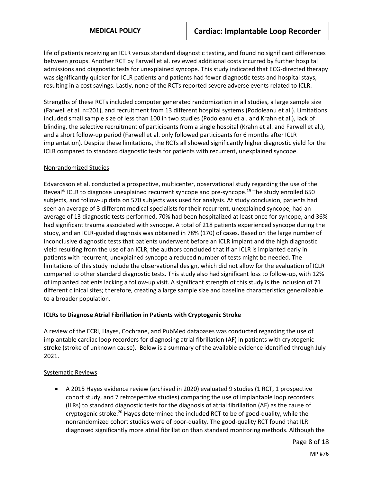life of patients receiving an ICLR versus standard diagnostic testing, and found no significant differences between groups. Another RCT by Farwell et al. reviewed additional costs incurred by further hospital admissions and diagnostic tests for unexplained syncope. This study indicated that ECG-directed therapy was significantly quicker for ICLR patients and patients had fewer diagnostic tests and hospital stays, resulting in a cost savings. Lastly, none of the RCTs reported severe adverse events related to ICLR.

Strengths of these RCTs included computer generated randomization in all studies, a large sample size (Farwell et al. n=201), and recruitment from 13 different hospital systems (Podoleanu et al.). Limitations included small sample size of less than 100 in two studies (Podoleanu et al. and Krahn et al.), lack of blinding, the selective recruitment of participants from a single hospital (Krahn et al. and Farwell et al.), and a short follow-up period (Farwell et al. only followed participants for 6 months after ICLR implantation). Despite these limitations, the RCTs all showed significantly higher diagnostic yield for the ICLR compared to standard diagnostic tests for patients with recurrent, unexplained syncope.

#### Nonrandomized Studies

Edvardsson et al. conducted a prospective, multicenter, observational study regarding the use of the Reveal<sup>®</sup> ICLR to diagnose unexplained recurrent syncope and pre-syncope.<sup>19</sup> The study enrolled 650 subjects, and follow-up data on 570 subjects was used for analysis. At study conclusion, patients had seen an average of 3 different medical specialists for their recurrent, unexplained syncope, had an average of 13 diagnostic tests performed, 70% had been hospitalized at least once for syncope, and 36% had significant trauma associated with syncope. A total of 218 patients experienced syncope during the study, and an ICLR-guided diagnosis was obtained in 78% (170) of cases. Based on the large number of inconclusive diagnostic tests that patients underwent before an ICLR implant and the high diagnostic yield resulting from the use of an ICLR, the authors concluded that if an ICLR is implanted early in patients with recurrent, unexplained syncope a reduced number of tests might be needed. The limitations of this study include the observational design, which did not allow for the evaluation of ICLR compared to other standard diagnostic tests. This study also had significant loss to follow-up, with 12% of implanted patients lacking a follow-up visit. A significant strength of this study is the inclusion of 71 different clinical sites; therefore, creating a large sample size and baseline characteristics generalizable to a broader population.

#### **ICLRs to Diagnose Atrial Fibrillation in Patients with Cryptogenic Stroke**

A review of the ECRI, Hayes, Cochrane, and PubMed databases was conducted regarding the use of implantable cardiac loop recorders for diagnosing atrial fibrillation (AF) in patients with cryptogenic stroke (stroke of unknown cause). Below is a summary of the available evidence identified through July 2021.

#### Systematic Reviews

 A 2015 Hayes evidence review (archived in 2020) evaluated 9 studies (1 RCT, 1 prospective cohort study, and 7 retrospective studies) comparing the use of implantable loop recorders (ILRs) to standard diagnostic tests for the diagnosis of atrial fibrillation (AF) as the cause of cryptogenic stroke.<sup>20</sup> Hayes determined the included RCT to be of good-quality, while the nonrandomized cohort studies were of poor-quality. The good-quality RCT found that ILR diagnosed significantly more atrial fibrillation than standard monitoring methods. Although the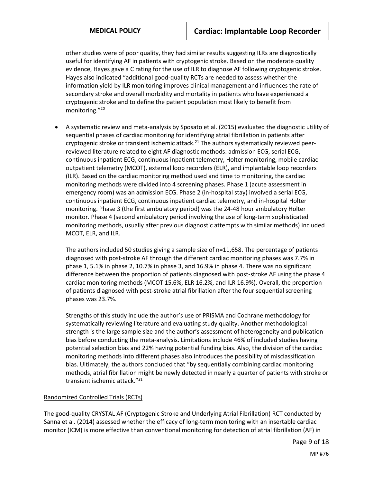other studies were of poor quality, they had similar results suggesting ILRs are diagnostically useful for identifying AF in patients with cryptogenic stroke. Based on the moderate quality evidence, Hayes gave a C rating for the use of ILR to diagnose AF following cryptogenic stroke. Hayes also indicated "additional good-quality RCTs are needed to assess whether the information yield by ILR monitoring improves clinical management and influences the rate of secondary stroke and overall morbidity and mortality in patients who have experienced a cryptogenic stroke and to define the patient population most likely to benefit from monitoring."<sup>20</sup>

 A systematic review and meta-analysis by Sposato et al. (2015) evaluated the diagnostic utility of sequential phases of cardiac monitoring for identifying atrial fibrillation in patients after cryptogenic stroke or transient ischemic attack.<sup>21</sup> The authors systematically reviewed peerreviewed literature related to eight AF diagnostic methods: admission ECG, serial ECG, continuous inpatient ECG, continuous inpatient telemetry, Holter monitoring, mobile cardiac outpatient telemetry (MCOT), external loop recorders (ELR), and implantable loop recorders (ILR). Based on the cardiac monitoring method used and time to monitoring, the cardiac monitoring methods were divided into 4 screening phases. Phase 1 (acute assessment in emergency room) was an admission ECG. Phase 2 (in-hospital stay) involved a serial ECG, continuous inpatient ECG, continuous inpatient cardiac telemetry, and in-hospital Holter monitoring. Phase 3 (the first ambulatory period) was the 24-48 hour ambulatory Holter monitor. Phase 4 (second ambulatory period involving the use of long-term sophisticated monitoring methods, usually after previous diagnostic attempts with similar methods) included MCOT, ELR, and ILR.

The authors included 50 studies giving a sample size of n=11,658. The percentage of patients diagnosed with post-stroke AF through the different cardiac monitoring phases was 7.7% in phase 1, 5.1% in phase 2, 10.7% in phase 3, and 16.9% in phase 4. There was no significant difference between the proportion of patients diagnosed with post-stroke AF using the phase 4 cardiac monitoring methods (MCOT 15.6%, ELR 16.2%, and ILR 16.9%). Overall, the proportion of patients diagnosed with post-stroke atrial fibrillation after the four sequential screening phases was 23.7%.

Strengths of this study include the author's use of PRISMA and Cochrane methodology for systematically reviewing literature and evaluating study quality. Another methodological strength is the large sample size and the author's assessment of heterogeneity and publication bias before conducting the meta-analysis. Limitations include 46% of included studies having potential selection bias and 22% having potential funding bias. Also, the division of the cardiac monitoring methods into different phases also introduces the possibility of misclassification bias. Ultimately, the authors concluded that "by sequentially combining cardiac monitoring methods, atrial fibrillation might be newly detected in nearly a quarter of patients with stroke or transient ischemic attack."<sup>21</sup>

#### Randomized Controlled Trials (RCTs)

The good-quality CRYSTAL AF (Cryptogenic Stroke and Underlying Atrial Fibrillation) RCT conducted by Sanna et al. (2014) assessed whether the efficacy of long-term monitoring with an insertable cardiac monitor (ICM) is more effective than conventional monitoring for detection of atrial fibrillation (AF) in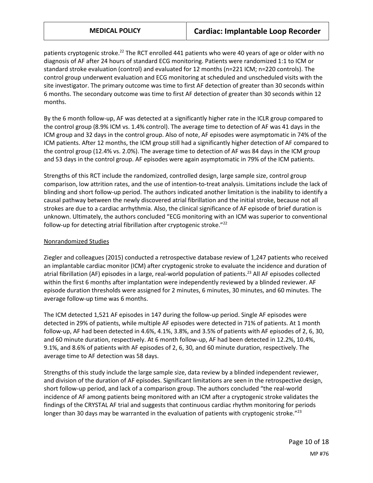patients cryptogenic stroke.<sup>22</sup> The RCT enrolled 441 patients who were 40 years of age or older with no diagnosis of AF after 24 hours of standard ECG monitoring. Patients were randomized 1:1 to ICM or standard stroke evaluation (control) and evaluated for 12 months (n=221 ICM; n=220 controls). The control group underwent evaluation and ECG monitoring at scheduled and unscheduled visits with the site investigator. The primary outcome was time to first AF detection of greater than 30 seconds within 6 months. The secondary outcome was time to first AF detection of greater than 30 seconds within 12 months.

By the 6 month follow-up, AF was detected at a significantly higher rate in the ICLR group compared to the control group (8.9% ICM vs. 1.4% control). The average time to detection of AF was 41 days in the ICM group and 32 days in the control group. Also of note, AF episodes were asymptomatic in 74% of the ICM patients. After 12 months, the ICM group still had a significantly higher detection of AF compared to the control group (12.4% vs. 2.0%). The average time to detection of AF was 84 days in the ICM group and 53 days in the control group. AF episodes were again asymptomatic in 79% of the ICM patients.

Strengths of this RCT include the randomized, controlled design, large sample size, control group comparison, low attrition rates, and the use of intention-to-treat analysis. Limitations include the lack of blinding and short follow-up period. The authors indicated another limitation is the inability to identify a causal pathway between the newly discovered atrial fibrillation and the initial stroke, because not all strokes are due to a cardiac arrhythmia. Also, the clinical significance of AF episode of brief duration is unknown. Ultimately, the authors concluded "ECG monitoring with an ICM was superior to conventional follow-up for detecting atrial fibrillation after cryptogenic stroke."<sup>22</sup>

#### Nonrandomized Studies

Ziegler and colleagues (2015) conducted a retrospective database review of 1,247 patients who received an implantable cardiac monitor (ICM) after cryptogenic stroke to evaluate the incidence and duration of atrial fibrillation (AF) episodes in a large, real-world population of patients.<sup>23</sup> All AF episodes collected within the first 6 months after implantation were independently reviewed by a blinded reviewer. AF episode duration thresholds were assigned for 2 minutes, 6 minutes, 30 minutes, and 60 minutes. The average follow-up time was 6 months.

The ICM detected 1,521 AF episodes in 147 during the follow-up period. Single AF episodes were detected in 29% of patients, while multiple AF episodes were detected in 71% of patients. At 1 month follow-up, AF had been detected in 4.6%, 4.1%, 3.8%, and 3.5% of patients with AF episodes of 2, 6, 30, and 60 minute duration, respectively. At 6 month follow-up, AF had been detected in 12.2%, 10.4%, 9.1%, and 8.6% of patients with AF episodes of 2, 6, 30, and 60 minute duration, respectively. The average time to AF detection was 58 days.

Strengths of this study include the large sample size, data review by a blinded independent reviewer, and division of the duration of AF episodes. Significant limitations are seen in the retrospective design, short follow-up period, and lack of a comparison group. The authors concluded "the real-world incidence of AF among patients being monitored with an ICM after a cryptogenic stroke validates the findings of the CRYSTAL AF trial and suggests that continuous cardiac rhythm monitoring for periods longer than 30 days may be warranted in the evaluation of patients with cryptogenic stroke."<sup>23</sup>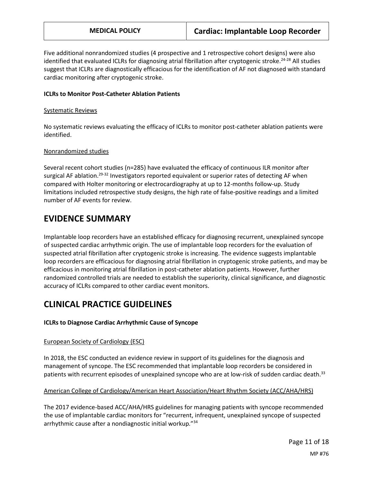Five additional nonrandomized studies (4 prospective and 1 retrospective cohort designs) were also identified that evaluated ICLRs for diagnosing atrial fibrillation after cryptogenic stroke.<sup>24-28</sup> All studies suggest that ICLRs are diagnostically efficacious for the identification of AF not diagnosed with standard cardiac monitoring after cryptogenic stroke.

#### **ICLRs to Monitor Post-Catheter Ablation Patients**

#### Systematic Reviews

No systematic reviews evaluating the efficacy of ICLRs to monitor post-catheter ablation patients were identified.

#### Nonrandomized studies

Several recent cohort studies (n=285) have evaluated the efficacy of continuous ILR monitor after surgical AF ablation.<sup>29-32</sup> Investigators reported equivalent or superior rates of detecting AF when compared with Holter monitoring or electrocardiography at up to 12-months follow-up. Study limitations included retrospective study designs, the high rate of false-positive readings and a limited number of AF events for review.

# **EVIDENCE SUMMARY**

Implantable loop recorders have an established efficacy for diagnosing recurrent, unexplained syncope of suspected cardiac arrhythmic origin. The use of implantable loop recorders for the evaluation of suspected atrial fibrillation after cryptogenic stroke is increasing. The evidence suggests implantable loop recorders are efficacious for diagnosing atrial fibrillation in cryptogenic stroke patients, and may be efficacious in monitoring atrial fibrillation in post-catheter ablation patients. However, further randomized controlled trials are needed to establish the superiority, clinical significance, and diagnostic accuracy of ICLRs compared to other cardiac event monitors.

# **CLINICAL PRACTICE GUIDELINES**

### **ICLRs to Diagnose Cardiac Arrhythmic Cause of Syncope**

### European Society of Cardiology (ESC)

In 2018, the ESC conducted an evidence review in support of its guidelines for the diagnosis and management of syncope. The ESC recommended that implantable loop recorders be considered in patients with recurrent episodes of unexplained syncope who are at low-risk of sudden cardiac death.<sup>33</sup>

### American College of Cardiology/American Heart Association/Heart Rhythm Society (ACC/AHA/HRS)

The 2017 evidence-based ACC/AHA/HRS guidelines for managing patients with syncope recommended the use of implantable cardiac monitors for "recurrent, infrequent, unexplained syncope of suspected arrhythmic cause after a nondiagnostic initial workup."34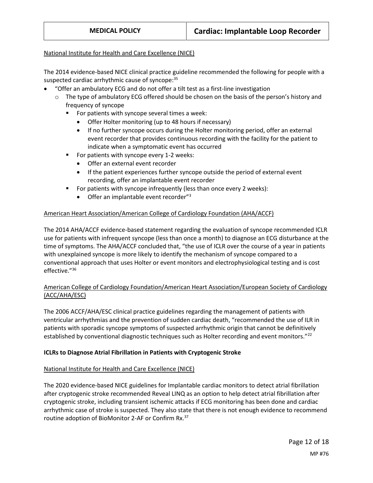#### National Institute for Health and Care Excellence (NICE)

The 2014 evidence-based NICE clinical practice guideline recommended the following for people with a suspected cardiac arrhythmic cause of syncope:<sup>35</sup>

- "Offer an ambulatory ECG and do not offer a tilt test as a first-line investigation
	- $\circ$  The type of ambulatory ECG offered should be chosen on the basis of the person's history and frequency of syncope
		- **For patients with syncope several times a week:** 
			- Offer Holter monitoring (up to 48 hours if necessary)
			- If no further syncope occurs during the Holter monitoring period, offer an external event recorder that provides continuous recording with the facility for the patient to indicate when a symptomatic event has occurred
		- **For patients with syncope every 1-2 weeks:** 
			- Offer an external event recorder
			- If the patient experiences further syncope outside the period of external event recording, offer an implantable event recorder
		- For patients with syncope infrequently (less than once every 2 weeks):
			- Offer an implantable event recorder"<sup>3</sup>

#### American Heart Association/American College of Cardiology Foundation (AHA/ACCF)

The 2014 AHA/ACCF evidence-based statement regarding the evaluation of syncope recommended ICLR use for patients with infrequent syncope (less than once a month) to diagnose an ECG disturbance at the time of symptoms. The AHA/ACCF concluded that, "the use of ICLR over the course of a year in patients with unexplained syncope is more likely to identify the mechanism of syncope compared to a conventional approach that uses Holter or event monitors and electrophysiological testing and is cost effective."<sup>36</sup>

#### American College of Cardiology Foundation/American Heart Association/European Society of Cardiology (ACC/AHA/ESC)

The 2006 ACCF/AHA/ESC clinical practice guidelines regarding the management of patients with ventricular arrhythmias and the prevention of sudden cardiac death, "recommended the use of ILR in patients with sporadic syncope symptoms of suspected arrhythmic origin that cannot be definitively established by conventional diagnostic techniques such as Holter recording and event monitors."<sup>22</sup>

#### **ICLRs to Diagnose Atrial Fibrillation in Patients with Cryptogenic Stroke**

#### National Institute for Health and Care Excellence (NICE)

The 2020 evidence-based NICE guidelines for Implantable cardiac monitors to detect atrial fibrillation after cryptogenic stroke recommended Reveal LINQ as an option to help detect atrial fibrillation after cryptogenic stroke, including transient ischemic attacks if ECG monitoring has been done and cardiac arrhythmic case of stroke is suspected. They also state that there is not enough evidence to recommend routine adoption of BioMonitor 2-AF or Confirm Rx.37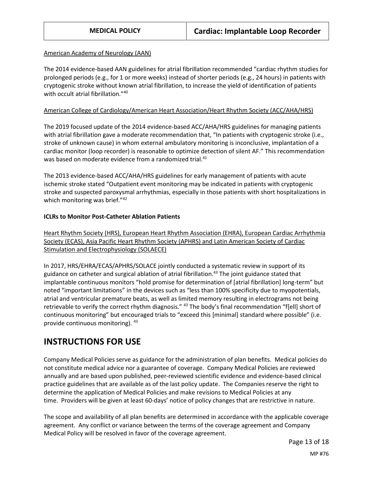#### American Academy of Neurology (AAN)

The 2014 evidence-based AAN guidelines for atrial fibrillation recommended "cardiac rhythm studies for prolonged periods (e.g., for 1 or more weeks) instead of shorter periods (e.g., 24 hours) in patients with cryptogenic stroke without known atrial fibrillation, to increase the yield of identification of patients with occult atrial fibrillation."<sup>40</sup>

#### American College of Cardiology/American Heart Association/Heart Rhythm Society (ACC/AHA/HRS)

The 2019 focused update of the 2014 evidence-based ACC/AHA/HRS guidelines for managing patients with atrial fibrillation gave a moderate recommendation that, "In patients with cryptogenic stroke (i.e., stroke of unknown cause) in whom external ambulatory monitoring is inconclusive, implantation of a cardiac monitor (loop recorder) is reasonable to optimize detection of silent AF." This recommendation was based on moderate evidence from a randomized trial.<sup>41</sup>

The 2013 evidence-based ACC/AHA/HRS guidelines for early management of patients with acute ischemic stroke stated "Outpatient event monitoring may be indicated in patients with cryptogenic stroke and suspected paroxysmal arrhythmias, especially in those patients with short hospitalizations in which monitoring was brief."<sup>42</sup>

#### **ICLRs to Monitor Post-Catheter Ablation Patients**

Heart Rhythm Society (HRS), European Heart Rhythm Association (EHRA), European Cardiac Arrhythmia Society (ECAS), Asia Pacific Heart Rhythm Society (APHRS) and Latin American Society of Cardiac Stimulation and Electrophysiology (SOLAECE)

In 2017, HRS/EHRA/ECAS/APHRS/SOLACE jointly conducted a systematic review in support of its guidance on catheter and surgical ablation of atrial fibrillation.<sup>43</sup> The joint guidance stated that implantable continuous monitors "hold promise for determination of [atrial fibrillation] long-term" but noted "important limitations" in the devices such as "less than 100% specificity due to myopotentials, atrial and ventricular premature beats, as well as limited memory resulting in electrograms not being retrievable to verify the correct rhythm diagnosis." <sup>43</sup> The body's final recommendation "f[ell] short of continuous monitoring" but encouraged trials to "exceed this [minimal] standard where possible" (i.e. provide continuous monitoring). <sup>43</sup>

# **INSTRUCTIONS FOR USE**

Company Medical Policies serve as guidance for the administration of plan benefits. Medical policies do not constitute medical advice nor a guarantee of coverage. Company Medical Policies are reviewed annually and are based upon published, peer-reviewed scientific evidence and evidence-based clinical practice guidelines that are available as of the last policy update. The Companies reserve the right to determine the application of Medical Policies and make revisions to Medical Policies at any time. Providers will be given at least 60-days' notice of policy changes that are restrictive in nature.

The scope and availability of all plan benefits are determined in accordance with the applicable coverage agreement. Any conflict or variance between the terms of the coverage agreement and Company Medical Policy will be resolved in favor of the coverage agreement.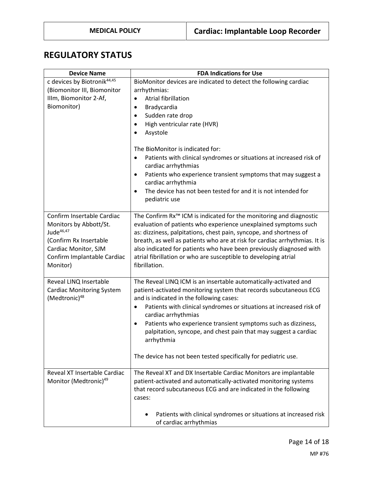# **REGULATORY STATUS**

| <b>Device Name</b>                      | <b>FDA Indications for Use</b>                                                                                                        |  |  |
|-----------------------------------------|---------------------------------------------------------------------------------------------------------------------------------------|--|--|
| c devices by Biotronik <sup>44,45</sup> | BioMonitor devices are indicated to detect the following cardiac                                                                      |  |  |
| (Biomonitor III, Biomonitor             | arrhythmias:                                                                                                                          |  |  |
| Illm, Biomonitor 2-Af,                  | <b>Atrial fibrillation</b><br>$\bullet$                                                                                               |  |  |
| Biomonitor)                             | Bradycardia<br>$\bullet$                                                                                                              |  |  |
|                                         | Sudden rate drop<br>$\bullet$                                                                                                         |  |  |
|                                         | High ventricular rate (HVR)<br>$\bullet$                                                                                              |  |  |
|                                         | Asystole<br>$\bullet$                                                                                                                 |  |  |
|                                         |                                                                                                                                       |  |  |
|                                         | The BioMonitor is indicated for:                                                                                                      |  |  |
|                                         | Patients with clinical syndromes or situations at increased risk of<br>٠                                                              |  |  |
|                                         | cardiac arrhythmias                                                                                                                   |  |  |
|                                         | Patients who experience transient symptoms that may suggest a<br>$\bullet$                                                            |  |  |
|                                         | cardiac arrhythmia                                                                                                                    |  |  |
|                                         | The device has not been tested for and it is not intended for<br>$\bullet$                                                            |  |  |
|                                         | pediatric use                                                                                                                         |  |  |
| Confirm Insertable Cardiac              | The Confirm Rx <sup>™</sup> ICM is indicated for the monitoring and diagnostic                                                        |  |  |
| Monitors by Abbott/St.                  |                                                                                                                                       |  |  |
| Jude <sup>46,47</sup>                   | evaluation of patients who experience unexplained symptoms such<br>as: dizziness, palpitations, chest pain, syncope, and shortness of |  |  |
| (Confirm Rx Insertable                  | breath, as well as patients who are at risk for cardiac arrhythmias. It is                                                            |  |  |
| Cardiac Monitor, SJM                    | also indicated for patients who have been previously diagnosed with                                                                   |  |  |
| Confirm Implantable Cardiac             | atrial fibrillation or who are susceptible to developing atrial                                                                       |  |  |
| Monitor)                                | fibrillation.                                                                                                                         |  |  |
|                                         |                                                                                                                                       |  |  |
| Reveal LINQ Insertable                  | The Reveal LINQ ICM is an insertable automatically-activated and                                                                      |  |  |
| <b>Cardiac Monitoring System</b>        | patient-activated monitoring system that records subcutaneous ECG                                                                     |  |  |
| (Medtronic) <sup>48</sup>               | and is indicated in the following cases:                                                                                              |  |  |
|                                         | Patients with clinical syndromes or situations at increased risk of<br>٠                                                              |  |  |
|                                         | cardiac arrhythmias                                                                                                                   |  |  |
|                                         | Patients who experience transient symptoms such as dizziness,<br>$\bullet$                                                            |  |  |
|                                         | palpitation, syncope, and chest pain that may suggest a cardiac                                                                       |  |  |
|                                         | arrhythmia                                                                                                                            |  |  |
|                                         |                                                                                                                                       |  |  |
|                                         | The device has not been tested specifically for pediatric use.                                                                        |  |  |
| Reveal XT Insertable Cardiac            | The Reveal XT and DX Insertable Cardiac Monitors are implantable                                                                      |  |  |
| Monitor (Medtronic) <sup>49</sup>       | patient-activated and automatically-activated monitoring systems                                                                      |  |  |
|                                         | that record subcutaneous ECG and are indicated in the following                                                                       |  |  |
|                                         | cases:                                                                                                                                |  |  |
|                                         |                                                                                                                                       |  |  |
|                                         | Patients with clinical syndromes or situations at increased risk                                                                      |  |  |
|                                         | of cardiac arrhythmias                                                                                                                |  |  |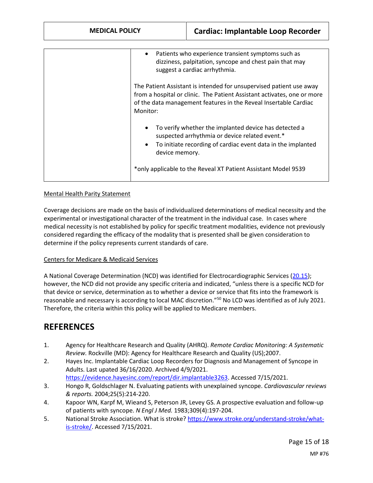| <b>MEDICAL POLICY</b> |                                                                                                                                                                                                                                | <b>Cardiac: Implantable Loop Recorder</b>                                                                                                                               |
|-----------------------|--------------------------------------------------------------------------------------------------------------------------------------------------------------------------------------------------------------------------------|-------------------------------------------------------------------------------------------------------------------------------------------------------------------------|
|                       |                                                                                                                                                                                                                                |                                                                                                                                                                         |
|                       | $\bullet$                                                                                                                                                                                                                      | Patients who experience transient symptoms such as<br>dizziness, palpitation, syncope and chest pain that may<br>suggest a cardiac arrhythmia.                          |
|                       | The Patient Assistant is intended for unsupervised patient use away<br>from a hospital or clinic. The Patient Assistant activates, one or more<br>of the data management features in the Reveal Insertable Cardiac<br>Monitor: |                                                                                                                                                                         |
|                       | device memory.                                                                                                                                                                                                                 | To verify whether the implanted device has detected a<br>suspected arrhythmia or device related event.*<br>To initiate recording of cardiac event data in the implanted |
|                       |                                                                                                                                                                                                                                | *only applicable to the Reveal XT Patient Assistant Model 9539                                                                                                          |

#### Mental Health Parity Statement

Coverage decisions are made on the basis of individualized determinations of medical necessity and the experimental or investigational character of the treatment in the individual case. In cases where medical necessity is not established by policy for specific treatment modalities, evidence not previously considered regarding the efficacy of the modality that is presented shall be given consideration to determine if the policy represents current standards of care.

#### Centers for Medicare & Medicaid Services

A National Coverage Determination (NCD) was identified for Electrocardiographic Services [\(20.15\)](https://www.cms.gov/medicare-coverage-database/details/ncd-details.aspx?NCDId=179); however, the NCD did not provide any specific criteria and indicated, "unless there is a specific NCD for that device or service, determination as to whether a device or service that fits into the framework is reasonable and necessary is according to local MAC discretion."<sup>50</sup> No LCD was identified as of July 2021. Therefore, the criteria within this policy will be applied to Medicare members.

## **REFERENCES**

- 1. Agency for Healthcare Research and Quality (AHRQ). *Remote Cardiac Monitoring: A Systematic Review.* Rockville (MD): Agency for Healthcare Research and Quality (US);2007.
- 2. Hayes Inc. Implantable Cardiac Loop Recorders for Diagnosis and Management of Syncope in Adults. Last upated 36/16/2020. Archived 4/9/2021. [https://evidence.hayesinc.com/report/dir.implantable3263.](https://evidence.hayesinc.com/report/dir.implantable3263) Accessed 7/15/2021.
- 3. Hongo R, Goldschlager N. Evaluating patients with unexplained syncope. *Cardiovascular reviews & reports.* 2004;25(5):214-220.
- 4. Kapoor WN, Karpf M, Wieand S, Peterson JR, Levey GS. A prospective evaluation and follow-up of patients with syncope. *N Engl J Med.* 1983;309(4):197-204.
- 5. National Stroke Association. What is stroke? [https://www.stroke.org/understand-stroke/what](https://www.stroke.org/understand-stroke/what-is-stroke/)[is-stroke/.](https://www.stroke.org/understand-stroke/what-is-stroke/) Accessed 7/15/2021.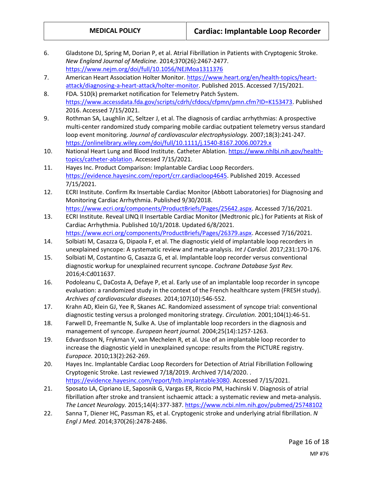- 6. Gladstone DJ, Spring M, Dorian P, et al. Atrial Fibrillation in Patients with Cryptogenic Stroke. *New England Journal of Medicine.* 2014;370(26):2467-2477. <https://www.nejm.org/doi/full/10.1056/NEJMoa1311376>
- 7. American Heart Association Holter Monitor. [https://www.heart.org/en/health-topics/heart](https://www.heart.org/en/health-topics/heart-attack/diagnosing-a-heart-attack/holter-monitor)[attack/diagnosing-a-heart-attack/holter-monitor.](https://www.heart.org/en/health-topics/heart-attack/diagnosing-a-heart-attack/holter-monitor) Published 2015. Accessed 7/15/2021.
- 8. FDA. 510(k) premarket notification for Telemetry Patch System. [https://www.accessdata.fda.gov/scripts/cdrh/cfdocs/cfpmn/pmn.cfm?ID=K153473.](https://www.accessdata.fda.gov/scripts/cdrh/cfdocs/cfpmn/pmn.cfm?ID=K153473) Published 2016. Accessed 7/15/2021.
- 9. Rothman SA, Laughlin JC, Seltzer J, et al. The diagnosis of cardiac arrhythmias: A prospective multi-center randomized study comparing mobile cardiac outpatient telemetry versus standard loop event monitoring. *Journal of cardiovascular electrophysiology.* 2007;18(3):241-247. <https://onlinelibrary.wiley.com/doi/full/10.1111/j.1540-8167.2006.00729.x>
- 10. National Heart Lung and Blood Institute. Catheter Ablation. [https://www.nhlbi.nih.gov/health](https://www.nhlbi.nih.gov/health-topics/catheter-ablation)[topics/catheter-ablation.](https://www.nhlbi.nih.gov/health-topics/catheter-ablation) Accessed 7/15/2021.
- 11. Hayes Inc. Product Comparison: Implantable Cardiac Loop Recorders. [https://evidence.hayesinc.com/report/crr.cardiacloop4645.](https://evidence.hayesinc.com/report/crr.cardiacloop4645) Published 2019. Accessed 7/15/2021.
- 12. ECRI Institute. Confirm Rx Insertable Cardiac Monitor (Abbott Laboratories) for Diagnosing and Monitoring Cardiac Arrhythmia. Published 9/30/2018. [https://www.ecri.org/components/ProductBriefs/Pages/25642.aspx.](https://www.ecri.org/components/ProductBriefs/Pages/25642.aspx) Accessed 7/16/2021.
- 13. ECRI Institute. Reveal LINQ II Insertable Cardiac Monitor (Medtronic plc.) for Patients at Risk of Cardiac Arrhythmia. Published 10/1/2018. Updated 6/8/2021.

[https://www.ecri.org/components/ProductBriefs/Pages/26379.aspx.](https://www.ecri.org/components/ProductBriefs/Pages/26379.aspx) Accessed 7/16/2021.

- 14. Solbiati M, Casazza G, Dipaola F, et al. The diagnostic yield of implantable loop recorders in unexplained syncope: A systematic review and meta-analysis. *Int J Cardiol.* 2017;231:170-176.
- 15. Solbiati M, Costantino G, Casazza G, et al. Implantable loop recorder versus conventional diagnostic workup for unexplained recurrent syncope. *Cochrane Database Syst Rev.*  2016;4:Cd011637.
- 16. Podoleanu C, DaCosta A, Defaye P, et al. Early use of an implantable loop recorder in syncope evaluation: a randomized study in the context of the French healthcare system (FRESH study). *Archives of cardiovascular diseases.* 2014;107(10):546-552.
- 17. Krahn AD, Klein GJ, Yee R, Skanes AC. Randomized assessment of syncope trial: conventional diagnostic testing versus a prolonged monitoring strategy. *Circulation.* 2001;104(1):46-51.
- 18. Farwell D, Freemantle N, Sulke A. Use of implantable loop recorders in the diagnosis and management of syncope. *European heart journal.* 2004;25(14):1257-1263.
- 19. Edvardsson N, Frykman V, van Mechelen R, et al. Use of an implantable loop recorder to increase the diagnostic yield in unexplained syncope: results from the PICTURE registry. *Europace.* 2010;13(2):262-269.
- 20. Hayes Inc. Implantable Cardiac Loop Recorders for Detection of Atrial Fibrillation Following Cryptogenic Stroke. Last reviewed 7/18/2019. Archived 7/14/2020. . [https://evidence.hayesinc.com/report/htb.implantable3080.](https://evidence.hayesinc.com/report/htb.implantable3080) Accessed 7/15/2021.
- 21. Sposato LA, Cipriano LE, Saposnik G, Vargas ER, Riccio PM, Hachinski V. Diagnosis of atrial fibrillation after stroke and transient ischaemic attack: a systematic review and meta-analysis. *The Lancet Neurology.* 2015;14(4):377-387.<https://www.ncbi.nlm.nih.gov/pubmed/25748102>
- 22. Sanna T, Diener HC, Passman RS, et al. Cryptogenic stroke and underlying atrial fibrillation. *N Engl J Med.* 2014;370(26):2478-2486.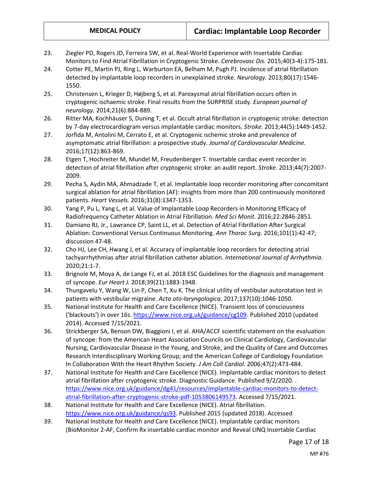- 23. Ziegler PD, Rogers JD, Ferreira SW, et al. Real-World Experience with Insertable Cardiac Monitors to Find Atrial Fibrillation in Cryptogenic Stroke. *Cerebrovasc Dis.* 2015;40(3-4):175-181.
- 24. Cotter PE, Martin PJ, Ring L, Warburton EA, Belham M, Pugh PJ. Incidence of atrial fibrillation detected by implantable loop recorders in unexplained stroke. *Neurology.* 2013;80(17):1546- 1550.
- 25. Christensen L, Krieger D, Højberg S, et al. Paroxysmal atrial fibrillation occurs often in cryptogenic ischaemic stroke. Final results from the SURPRISE study. *European journal of neurology.* 2014;21(6):884-889.
- 26. Ritter MA, Kochhäuser S, Duning T, et al. Occult atrial fibrillation in cryptogenic stroke: detection by 7-day electrocardiogram versus implantable cardiac monitors. *Stroke.* 2013;44(5):1449-1452.
- 27. Jorfida M, Antolini M, Cerrato E, et al. Cryptogenic ischemic stroke and prevalence of asymptomatic atrial fibrillation: a prospective study. *Journal of Cardiovascular Medicine.*  2016;17(12):863-869.
- 28. Etgen T, Hochreiter M, Mundel M, Freudenberger T. Insertable cardiac event recorder in detection of atrial fibrillation after cryptogenic stroke: an audit report. *Stroke.* 2013;44(7):2007- 2009.
- 29. Pecha S, Aydin MA, Ahmadzade T, et al. Implantable loop recorder monitoring after concomitant surgical ablation for atrial fibrillation (AF): insights from more than 200 continuously monitored patients. *Heart Vessels.* 2016;31(8):1347-1353.
- 30. Yang P, Pu L, Yang L, et al. Value of Implantable Loop Recorders in Monitoring Efficacy of Radiofrequency Catheter Ablation in Atrial Fibrillation. *Med Sci Monit.* 2016;22:2846-2851.
- 31. Damiano RJ, Jr., Lawrance CP, Saint LL, et al. Detection of Atrial Fibrillation After Surgical Ablation: Conventional Versus Continuous Monitoring. *Ann Thorac Surg.* 2016;101(1):42-47; discussion 47-48.
- 32. Cho HJ, Lee CH, Hwang J, et al. Accuracy of implantable loop recorders for detecting atrial tachyarrhythmias after atrial fibrillation catheter ablation. *International Journal of Arrhythmia.*  2020;21:1-7.
- 33. Brignole M, Moya A, de Lange FJ, et al. 2018 ESC Guidelines for the diagnosis and management of syncope. *Eur Heart J.* 2018;39(21):1883-1948.
- 34. Thungavelu Y, Wang W, Lin P, Chen T, Xu K. The clinical utility of vestibular autorotation test in patients with vestibular migraine. *Acta oto-laryngologica.* 2017;137(10):1046-1050.
- 35. National Institute for Health and Care Excellence (NICE). Transient loss of consciousness ('blackouts') in over 16s. [https://www.nice.org.uk/guidance/cg109.](https://www.nice.org.uk/guidance/cg109) Published 2010 (updated 2014). Accessed 7/15/2021.
- 36. Strickberger SA, Benson DW, Biaggioni I, et al. AHA/ACCF scientific statement on the evaluation of syncope: from the American Heart Association Councils on Clinical Cardiology, Cardiovascular Nursing, Cardiovascular Disease in the Young, and Stroke, and the Quality of Care and Outcomes Research Interdisciplinary Working Group; and the American College of Cardiology Foundation In Collaboration With the Heart Rhythm Society. *J Am Coll Cardiol.* 2006;47(2):473-484.
- 37. National Institute for Health and Care Excellence (NICE). Implantable cardiac monitors to detect atrial fibrillation after cryptogenic stroke. Diagnostic Guidance. Published 9/2/2020. . [https://www.nice.org.uk/guidance/dg41/resources/implantable-cardiac-monitors-to-detect](https://www.nice.org.uk/guidance/dg41/resources/implantable-cardiac-monitors-to-detect-atrial-fibrillation-after-cryptogenic-stroke-pdf-1053806149573)[atrial-fibrillation-after-cryptogenic-stroke-pdf-1053806149573.](https://www.nice.org.uk/guidance/dg41/resources/implantable-cardiac-monitors-to-detect-atrial-fibrillation-after-cryptogenic-stroke-pdf-1053806149573) Accessed 7/15/2021.
- 38. National Institute for Health and Care Excellence (NICE). Atrial fibrillation. [https://www.nice.org.uk/guidance/qs93.](https://www.nice.org.uk/guidance/qs93) Published 2015 (updated 2018). Accessed
- 39. National Institute for Health and Care Excellence (NICE). Implantable cardiac monitors (BioMonitor 2-AF, Confirm Rx insertable cardiac monitor and Reveal LINQ Insertable Cardiac